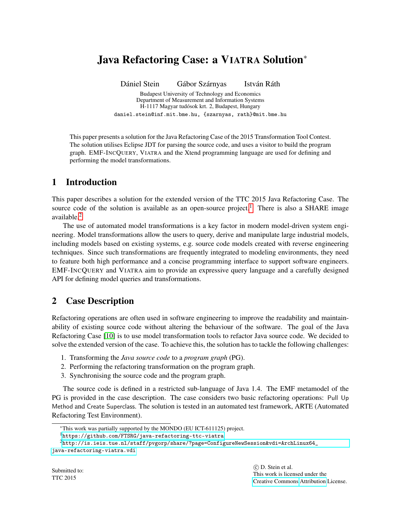# Java Refactoring Case: a VIATRA Solution<sup>∗</sup>

Dániel Stein Gábor Szárnyas István Ráth Budapest University of Technology and Economics Department of Measurement and Information Systems H-1117 Magyar tudósok krt. 2, Budapest, Hungary daniel.stein@inf.mit.bme.hu, {szarnyas, rath}@mit.bme.hu

This paper presents a solution for the Java Refactoring Case of the 2015 Transformation Tool Contest. The solution utilises Eclipse JDT for parsing the source code, and uses a visitor to build the program graph. EMF-INCQUERY, VIATRA and the Xtend programming language are used for defining and performing the model transformations.

## 1 Introduction

This paper describes a solution for the extended version of the TTC 2015 Java Refactoring Case. The source code of the solution is available as an open-source project.<sup>[1](#page-0-0)</sup> There is also a SHARE image available.[2](#page-0-1)

The use of automated model transformations is a key factor in modern model-driven system engineering. Model transformations allow the users to query, derive and manipulate large industrial models, including models based on existing systems, e.g. source code models created with reverse engineering techniques. Since such transformations are frequently integrated to modeling environments, they need to feature both high performance and a concise programming interface to support software engineers. EMF-INCQUERY and VIATRA aim to provide an expressive query language and a carefully designed API for defining model queries and transformations.

## 2 Case Description

Refactoring operations are often used in software engineering to improve the readability and maintainability of existing source code without altering the behaviour of the software. The goal of the Java Refactoring Case [\[10\]](#page-4-0) is to use model transformation tools to refactor Java source code. We decided to solve the extended version of the case. To achieve this, the solution has to tackle the following challenges:

- 1. Transforming the *Java source code* to a *program graph* (PG).
- 2. Performing the refactoring transformation on the program graph.
- 3. Synchronising the source code and the program graph.

The source code is defined in a restricted sub-language of Java 1.4. The EMF metamodel of the PG is provided in the case description. The case considers two basic refactoring operations: Pull Up Method and Create Superclass. The solution is tested in an automated test framework, ARTE (Automated Refactoring Test Environment).

<sup>∗</sup>This work was partially supported by the MONDO (EU ICT-611125) project.

<span id="page-0-1"></span><span id="page-0-0"></span><sup>1</sup><https://github.com/FTSRG/java-refactoring-ttc-viatra>

 $^{2}$ [http://is.ieis.tue.nl/staff/pvgorp/share/?page=ConfigureNewSession&vdi=ArchLinux64\\_](http://is.ieis.tue.nl/staff/pvgorp/share/?page=ConfigureNewSession&vdi=ArchLinux64_java-refactoring-viatra.vdi) [java-refactoring-viatra.vdi](http://is.ieis.tue.nl/staff/pvgorp/share/?page=ConfigureNewSession&vdi=ArchLinux64_java-refactoring-viatra.vdi)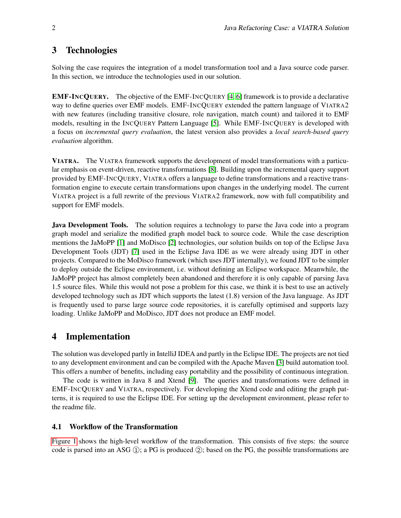## 3 Technologies

Solving the case requires the integration of a model transformation tool and a Java source code parser. In this section, we introduce the technologies used in our solution.

EMF-INCQUERY. The objective of the EMF-INCQUERY [\[4,](#page-4-1) [6\]](#page-4-2) framework is to provide a declarative way to define queries over EMF models. EMF-INCQUERY extended the pattern language of VIATRA2 with new features (including transitive closure, role navigation, match count) and tailored it to EMF models, resulting in the INCQUERY Pattern Language [\[5\]](#page-4-3). While EMF-INCQUERY is developed with a focus on *incremental query evaluation*, the latest version also provides a *local search-based query evaluation* algorithm.

VIATRA. The VIATRA framework supports the development of model transformations with a particular emphasis on event-driven, reactive transformations [\[8\]](#page-4-4). Building upon the incremental query support provided by EMF-INCQUERY, VIATRA offers a language to define transformations and a reactive transformation engine to execute certain transformations upon changes in the underlying model. The current VIATRA project is a full rewrite of the previous VIATRA2 framework, now with full compatibility and support for EMF models.

**Java Development Tools.** The solution requires a technology to parse the Java code into a program graph model and serialize the modified graph model back to source code. While the case description mentions the JaMoPP [\[1\]](#page-4-5) and MoDisco [\[2\]](#page-4-6) technologies, our solution builds on top of the Eclipse Java Development Tools (JDT) [\[7\]](#page-4-7) used in the Eclipse Java IDE as we were already using JDT in other projects. Compared to the MoDisco framework (which uses JDT internally), we found JDT to be simpler to deploy outside the Eclipse environment, i.e. without defining an Eclipse workspace. Meanwhile, the JaMoPP project has almost completely been abandoned and therefore it is only capable of parsing Java 1.5 source files. While this would not pose a problem for this case, we think it is best to use an actively developed technology such as JDT which supports the latest (1.8) version of the Java language. As JDT is frequently used to parse large source code repositories, it is carefully optimised and supports lazy loading. Unlike JaMoPP and MoDisco, JDT does not produce an EMF model.

## 4 Implementation

The solution was developed partly in IntelliJ IDEA and partly in the Eclipse IDE. The projects are not tied to any development environment and can be compiled with the Apache Maven [\[3\]](#page-4-8) build automation tool. This offers a number of benefits, including easy portability and the possibility of continuous integration.

The code is written in Java 8 and Xtend [\[9\]](#page-4-9). The queries and transformations were defined in EMF-INCQUERY and VIATRA, respectively. For developing the Xtend code and editing the graph patterns, it is required to use the Eclipse IDE. For setting up the development environment, please refer to the readme file.

#### 4.1 Workflow of the Transformation

[Figure 1](#page-2-0) shows the high-level workflow of the transformation. This consists of five steps: the source code is parsed into an ASG  $(1)$ ; a PG is produced  $(2)$ ; based on the PG, the possible transformations are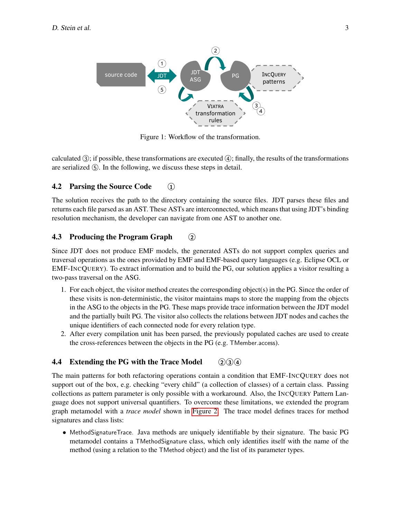<span id="page-2-0"></span>

Figure 1: Workflow of the transformation.

calculated  $(3)$ ; if possible, these transformations are executed  $(4)$ ; finally, the results of the transformations are serialized  $(5)$ . In the following, we discuss these steps in detail.

## 4.2 Parsing the Source Code 1

The solution receives the path to the directory containing the source files. JDT parses these files and returns each file parsed as an AST. These ASTs are interconnected, which means that using JDT's binding resolution mechanism, the developer can navigate from one AST to another one.

## 4.3 Producing the Program Graph 2

Since JDT does not produce EMF models, the generated ASTs do not support complex queries and traversal operations as the ones provided by EMF and EMF-based query languages (e.g. Eclipse OCL or EMF-INCQUERY). To extract information and to build the PG, our solution applies a visitor resulting a two-pass traversal on the ASG.

- 1. For each object, the visitor method creates the corresponding object(s) in the PG. Since the order of these visits is non-deterministic, the visitor maintains maps to store the mapping from the objects in the ASG to the objects in the PG. These maps provide trace information between the JDT model and the partially built PG. The visitor also collects the relations between JDT nodes and caches the unique identifiers of each connected node for every relation type.
- 2. After every compilation unit has been parsed, the previously populated caches are used to create the cross-references between the objects in the PG (e.g. TMember.access).

## **4.4** Extending the PG with the Trace Model  $(2)(3)(4)$

The main patterns for both refactoring operations contain a condition that EMF-INCQUERY does not support out of the box, e.g. checking "every child" (a collection of classes) of a certain class. Passing collections as pattern parameter is only possible with a workaround. Also, the INCQUERY Pattern Language does not support universal quantifiers. To overcome these limitations, we extended the program graph metamodel with a *trace model* shown in [Figure 2.](#page-16-0) The trace model defines traces for method signatures and class lists:

• MethodSignatureTrace. Java methods are uniquely identifiable by their signature. The basic PG metamodel contains a TMethodSignature class, which only identifies itself with the name of the method (using a relation to the TMethod object) and the list of its parameter types.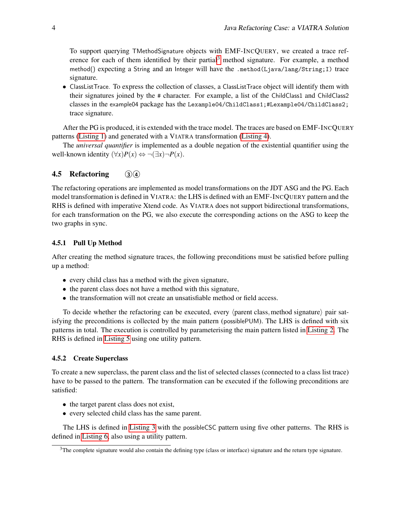To support querying TMethodSignature objects with EMF-INCQUERY, we created a trace ref-erence for each of them identified by their partial<sup>[3](#page-3-0)</sup> method signature. For example, a method method() expecting a String and an Integer will have the .method(Ljava/lang/String;I) trace signature.

• ClassListTrace. To express the collection of classes, a ClassListTrace object will identify them with their signatures joined by the # character. For example, a list of the ChildClass1 and ChildClass2 classes in the example04 package has the Lexample04/ChildClass1;#Lexample04/ChildClass2; trace signature.

After the PG is produced, it is extended with the trace model. The traces are based on EMF-INCQUERY patterns [\(Listing 1\)](#page-5-0) and generated with a VIATRA transformation [\(Listing 4\)](#page-7-0).

The *universal quantifier* is implemented as a double negation of the existential quantifier using the well-known identity  $(\forall x)P(x) \Leftrightarrow \neg(\exists x)\neg P(x)$ .

## 4.5 Refactoring 34

The refactoring operations are implemented as model transformations on the JDT ASG and the PG. Each model transformation is defined in VIATRA: the LHS is defined with an EMF-INCQUERY pattern and the RHS is defined with imperative Xtend code. As VIATRA does not support bidirectional transformations, for each transformation on the PG, we also execute the corresponding actions on the ASG to keep the two graphs in sync.

#### 4.5.1 Pull Up Method

After creating the method signature traces, the following preconditions must be satisfied before pulling up a method:

- every child class has a method with the given signature,
- the parent class does not have a method with this signature,
- the transformation will not create an unsatisfiable method or field access.

To decide whether the refactoring can be executed, every  $\langle$  parent class, method signature $\rangle$  pair satisfying the preconditions is collected by the main pattern (possiblePUM). The LHS is defined with six patterns in total. The execution is controlled by parameterising the main pattern listed in [Listing 2.](#page-5-1) The RHS is defined in [Listing 5](#page-9-0) using one utility pattern.

#### 4.5.2 Create Superclass

To create a new superclass, the parent class and the list of selected classes (connected to a class list trace) have to be passed to the pattern. The transformation can be executed if the following preconditions are satisfied:

- the target parent class does not exist,
- every selected child class has the same parent.

The LHS is defined in [Listing 3](#page-6-0) with the possibleCSC pattern using five other patterns. The RHS is defined in [Listing 6,](#page-11-0) also using a utility pattern.

<span id="page-3-0"></span> $3$ The complete signature would also contain the defining type (class or interface) signature and the return type signature.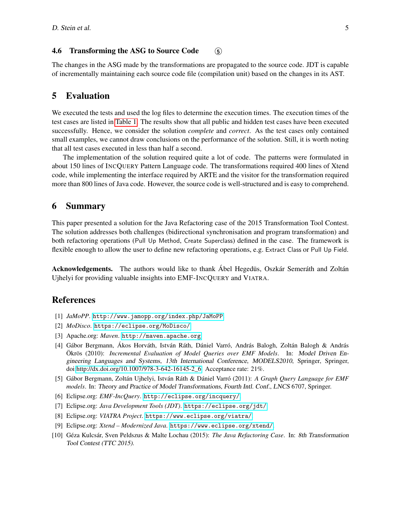#### 4.6 Transforming the ASG to Source Code 5

The changes in the ASG made by the transformations are propagated to the source code. JDT is capable of incrementally maintaining each source code file (compilation unit) based on the changes in its AST.

## 5 Evaluation

We executed the tests and used the log files to determine the execution times. The execution times of the test cases are listed in [Table 1.](#page-17-0) The results show that all public and hidden test cases have been executed successfully. Hence, we consider the solution *complete* and *correct*. As the test cases only contained small examples, we cannot draw conclusions on the performance of the solution. Still, it is worth noting that all test cases executed in less than half a second.

The implementation of the solution required quite a lot of code. The patterns were formulated in about 150 lines of INCQUERY Pattern Language code. The transformations required 400 lines of Xtend code, while implementing the interface required by ARTE and the visitor for the transformation required more than 800 lines of Java code. However, the source code is well-structured and is easy to comprehend.

#### 6 Summary

This paper presented a solution for the Java Refactoring case of the 2015 Transformation Tool Contest. The solution addresses both challenges (bidirectional synchronisation and program transformation) and both refactoring operations (Pull Up Method, Create Superclass) defined in the case. The framework is flexible enough to allow the user to define new refactoring operations, e.g. Extract Class or Pull Up Field.

Acknowledgements. The authors would like to thank Ábel Hegedüs, Oszkár Semeráth and Zoltán Ujhelyi for providing valuable insights into EMF-INCQUERY and VIATRA.

## References

- <span id="page-4-5"></span>[1] *JaMoPP*. <http://www.jamopp.org/index.php/JaMoPP>.
- <span id="page-4-6"></span>[2] *MoDisco*. <https://eclipse.org/MoDisco/>.
- <span id="page-4-8"></span>[3] Apache.org: *Maven*. <http://maven.apache.org>.
- <span id="page-4-1"></span>[4] Gábor Bergmann, Ákos Horváth, István Ráth, Dániel Varró, András Balogh, Zoltán Balogh & András Ökrös (2010): *Incremental Evaluation of Model Queries over EMF Models*. In: Model Driven Engineering Languages and Systems, 13th International Conference, MODELS2010, Springer, Springer, doi[:http://dx.doi.org/10.1007/978-3-642-16145-2\\_6.](http://dx.doi.org/http://dx.doi.org/10.1007/978-3-642-16145-2_6) Acceptance rate: 21%.
- <span id="page-4-3"></span>[5] Gábor Bergmann, Zoltán Ujhelyi, István Ráth & Dániel Varró (2011): *A Graph Query Language for EMF models*. In: Theory and Practice of Model Transformations, Fourth Intl. Conf., LNCS 6707, Springer.
- <span id="page-4-2"></span>[6] Eclipse.org: *EMF-IncQuery*. <http://eclipse.org/incquery/>.
- <span id="page-4-7"></span>[7] Eclipse.org: *Java Development Tools (JDT)*. <https://eclipse.org/jdt/>.
- <span id="page-4-4"></span>[8] Eclipse.org: *VIATRA Project*. <https://www.eclipse.org/viatra/>.
- <span id="page-4-9"></span>[9] Eclipse.org: *Xtend – Modernized Java*. <https://www.eclipse.org/xtend/>.
- <span id="page-4-0"></span>[10] Géza Kulcsár, Sven Peldszus & Malte Lochau (2015): *The Java Refactoring Case*. In: 8th Transformation Tool Contest (TTC 2015).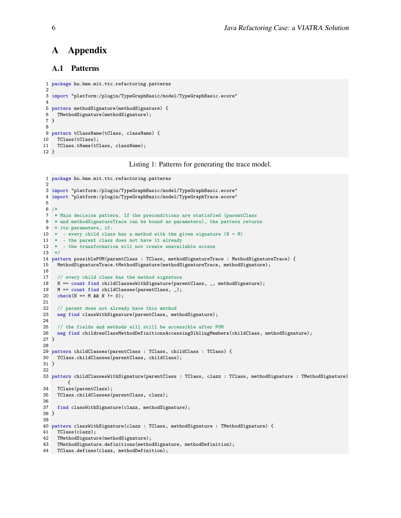## A Appendix

## A.1 Patterns

```
1 package hu.bme.mit.ttc.refactoring.patterns
 2
3 import "platform:/plugin/TypeGraphBasic/model/TypeGraphBasic.ecore"
4
5 pattern methodSignature(methodSignature) {
6 TMethodSignature(methodSignature);
7 }
8
9 pattern tClassName(tClass, className) {
10 TClass(tClass);
11 TClass.tName(tClass, className);
12 }
```
Listing 1: Patterns for generating the trace model.

```
1 package hu.bme.mit.ttc.refactoring.patterns
\mathcal{D}3 import "platform:/plugin/TypeGraphBasic/model/TypeGraphBasic.ecore"
4 import "platform:/plugin/TypeGraphBasic/model/TypeGraphTrace.ecore"
5
6 /*
7 * Main decision pattern. If the preconditions are statisfied (parentClass
8 * and methodSignatureTrace can be bound as parameters), the pattern returns
9 * its parameters, if:
10 * - every child class has a method with the given signature (N = M)
11 * - the parent class does not have it already
12 * - the transformation will not create unavailable access
13 */
14 pattern possiblePUM(parentClass : TClass, methodSignatureTrace : MethodSignatureTrace) {
15 MethodSignatureTrace.tMethodSignature(methodSignatureTrace, methodSignature);
16
17 // every child class has the method signature 18 N = count find childClassesWithSignature (particle
    N == count find childClassesWithSignature(parentClass, _, methodSignature);
19 M == count find childClasses(parentClass, _);
20 check(N = M& N := 0);
21
22 // parent does not already have this method
23 neg find classWithSignature(parentClass, methodSignature);
24
25 // the fields and methods will still be accessible after PUM
26 neg find childrenClassMethodDefinitionsAccessingSiblingMembers(childClass, methodSignature);
27 }
28
29 pattern childClasses(parentClass : TClass, childClass : TClass) {
30 TClass.childClasses(parentClass, childClass);
31 }
32
33 pattern childClassesWithSignature(parentClass : TClass, clazz : TClass, methodSignature : TMethodSignature)
         {
34 TClass(parentClass);
35 TClass.childClasses(parentClass, clazz);
36
37 find classWithSignature(clazz, methodSignature);
38 }
39
40 pattern classWithSignature(clazz : TClass, methodSignature : TMethodSignature) {
41 TClass(clazz);<br>42 TMethodSignatu:
    TMethodSignature(methodSignature);
43 TMethodSignature.definitions(methodSignature, methodDefinition);
44 TClass.defines(clazz, methodDefinition);
```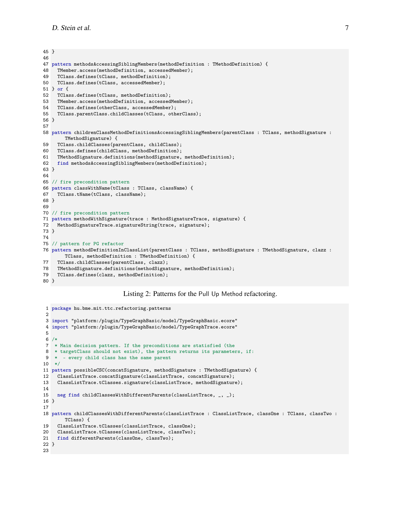```
45 }
46
47 pattern methodsAccessingSiblingMembers(methodDefinition : TMethodDefinition) {
48 TMember.access(methodDefinition, accessedMember);
49 TClass.defines(tClass, methodDefinition);
50 TClass.defines(tClass, accessedMember);
51 } or {
52 TClass.defines(tClass, methodDefinition);
53 TMember.access(methodDefinition, accessedMember);
54 TClass.defines(otherClass, accessedMember);
55 TClass.parentClass.childClasses(tClass, otherClass);
56 }
57
58 pattern childrenClassMethodDefinitionsAccessingSiblingMembers(parentClass : TClass, methodSignature :
       TMethodSignature) {
59 TClass.childClasses(parentClass, childClass);
60 TClass.defines(childClass, methodDefinition);
61 TMethodSignature.definitions(methodSignature, methodDefinition);
62 find methodsAccessingSiblingMembers(methodDefinition);
63 }
64
65 // fire precondition pattern
66 pattern classWithName(tClass : TClass, className) {
67 TClass.tName(tClass, className);
68 }
69
70 // fire precondition pattern
71 pattern methodWithSignature(trace : MethodSignatureTrace, signature) {
72 MethodSignatureTrace.signatureString(trace, signature);
73 }
74
75 // pattern for PG refactor
76 pattern methodDefinitionInClassList(parentClass : TClass, methodSignature : TMethodSignature, clazz :
       TClass, methodDefinition : TMethodDefinition) {
77 TClass.childClasses(parentClass, clazz);
78 TMethodSignature.definitions(methodSignature, methodDefinition);
79 TClass.defines(clazz, methodDefinition);
80 }
```
Listing 2: Patterns for the Pull Up Method refactoring.

```
1 package hu.bme.mit.ttc.refactoring.patterns
 2
3 import "platform:/plugin/TypeGraphBasic/model/TypeGraphBasic.ecore"
4 import "platform:/plugin/TypeGraphBasic/model/TypeGraphTrace.ecore"
5
6 /*
7 * Main decision pattern. If the preconditions are statisfied (the
8 * targetClass should not exist), the pattern returns its parameters, if:
9 * - every child class has the same parent
10 */11 pattern possibleCSC(concatSignature, methodSignature : TMethodSignature) {
12 ClassListTrace.concatSignature(classListTrace, concatSignature);
13 ClassListTrace.tClasses.signature(classListTrace, methodSignature);
14
15 neg find childClassesWithDifferentParents(classListTrace, _, _);
16 }
17
18 pattern childClassesWithDifferentParents(classListTrace : ClassListTrace, classOne : TClass, classTwo :
       TClass) {
19 ClassListTrace.tClasses(classListTrace, classOne);<br>20 ClassListTrace.tClasses(classListTrace, classTwo);
    20 ClassListTrace.tClasses(classListTrace, classTwo);
21 find differentParents(classOne, classTwo);
22 }
23
```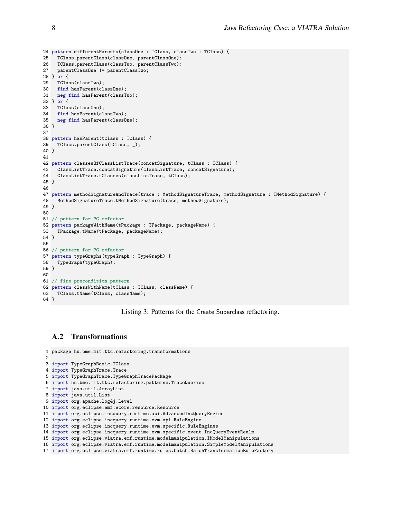```
24 pattern differentParents(classOne : TClass, classTwo : TClass) {
25 TClass.parentClass(classOne, parentClassOne);
26 TClass.parentClass(classTwo, parentClassTwo);
27 parentClassOne != parentClassTwo;
28 } or {<br>29 TClas
    TClass(classTwo);
30 find hasParent(classOne);
31 neg find hasParent(classTwo);
32 } or {
33 TClass(classOne);
34 find hasParent(classTwo);
35 neg find hasParent(classOne);
36 }
37
38 pattern hasParent(tClass : TClass) {
39 TClass.parentClass(tClass, _);
40 }
41
42 pattern classesOfClassListTrace(concatSignature, tClass : TClass) {
     43 ClassListTrace.concatSignature(classListTrace, concatSignature);
44 ClassListTrace.tClasses(classListTrace, tClass);
45 }
46
47 pattern methodSignatureAndTrace(trace : MethodSignatureTrace, methodSignature : TMethodSignature) {<br>48 MethodSignatureTrace.tMethodSignature(trace, methodSignature):
    MethodSignatureTrace.tMethodSignature(trace, methodSignature);
49 }
50
51 // pattern for PG refactor
52 pattern packageWithName(tPackage : TPackage, packageName) {
53 TPackage.tName(tPackage, packageName);
54 }
55
56 // pattern for PG refactor
57 pattern typeGraphs(typeGraph : TypeGraph) {
58 TypeGraph(typeGraph);
59 }
60
61 // fire precondition pattern
62 pattern classWithName(tClass : TClass, className) {
63 TClass.tName(tClass, className);
64 }
```
Listing 3: Patterns for the Create Superclass refactoring.

#### A.2 Transformations

```
1 package hu.bme.mit.ttc.refactoring.transformations
2
3 import TypeGraphBasic.TClass
4 import TypeGraphTrace.Trace
5 import TypeGraphTrace.TypeGraphTracePackage
6 import hu.bme.mit.ttc.refactoring.patterns.TraceQueries
7 import java.util.ArrayList
8 import java.util.List
9 import org.apache.log4j.Level
10 import org.eclipse.emf.ecore.resource.Resource
11 import org.eclipse.incquery.runtime.api.AdvancedIncQueryEngine
12 import org.eclipse.incquery.runtime.evm.api.RuleEngine
13 import org.eclipse.incquery.runtime.evm.specific.RuleEngines
14 import org.eclipse.incquery.runtime.evm.specific.event.IncQueryEventRealm
15 import org.eclipse.viatra.emf.runtime.modelmanipulation.IModelManipulations
16 import org.eclipse.viatra.emf.runtime.modelmanipulation.SimpleModelManipulations
```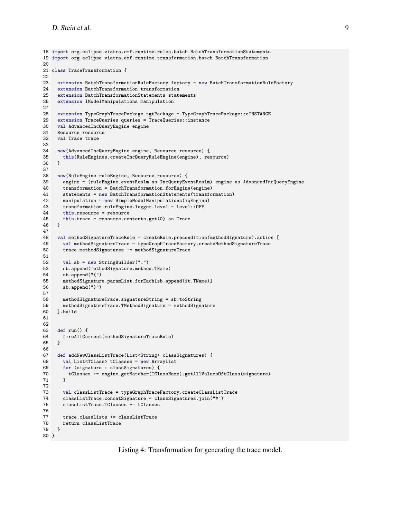```
18 import org.eclipse.viatra.emf.runtime.rules.batch.BatchTransformationStatements
19 import org.eclipse.viatra.emf.runtime.transformation.batch.BatchTransformation
2021 class TraceTransformation {
22
23 extension BatchTransformationRuleFactory factory = new BatchTransformationRuleFactory
24 extension BatchTransformation transformation
25 extension BatchTransformationStatements statements
26 extension IModelManipulations manipulation
27
28 extension TypeGraphTracePackage tgtPackage = TypeGraphTracePackage::eINSTANCE<br>29 extension TraceQueries queries = TraceQueries::instance
    extension TraceQueries queries = TraceQueries::instance
30 val AdvancedIncQueryEngine engine
31 Resource resource
32 val Trace trace
33<br>34
     34 new(AdvancedIncQueryEngine engine, Resource resource) {
35 this(RuleEngines.createIncQueryRuleEngine(engine), resource)
3637
38 new(RuleEngine ruleEngine, Resource resource) {
39 engine = (ruleEngine.eventRealm as IncQueryEventRealm).engine as AdvancedIncQueryEngine
40 transformation = BatchTransformation.forEngine(engine)
41 statements = new BatchTransformationStatements(transformation)<br>42 manipulation = new SimpleModelManipulations(igEngine)
       manipulation = new SimpleModelManipulations(iqEngine)43 transformation.ruleEngine.logger.level = Level::OFF
44 this.resource = resource
45 this.trace = resource.contents.get(0) as Trace 4646 }
47
48 val methodSignatureTraceRule = createRule.precondition(methodSignature).action [<br>49 val methodSignatureTrace = typeGraphTraceFactory createMethodSignatureTrace
      val methodSignatureTrace = typeGraphTraceFactory.createMethodSignatureTrace
50 trace.methodSignatures += methodSignatureTrace
51
52 val sb = new StringBuilder(".")
53 sb.append(methodSignature.method.TName)
54 sb.append("(")
55 methodSignature.paramList.forEach[sb.append(it.TName)]
56 sb.append(")")
57
58 methodSignatureTrace.signatureString = sb.toString
59 methodSignatureTrace.TMethodSignature = methodSignature
60 ].build
61
62<br>63
     def run() f64 fireAllCurrent(methodSignatureTraceRule)
65 }
66
67 def addNewClassListTrace(List<String> classSignatures) {
68 val List<TClass> tClasses = new ArrayList
69 for (signature : classSignatures) {
70 tClasses += engine.getMatcher(TClassName).getAllValuesOftClass(signature)
71 }
72
       val classListTrace = typeGraphTraceFactory.createClassListTrace
74 classListTrace.concatSignature = classSignatures.join("#")
       75 classListTrace.TClasses += tClasses
76
77 trace.classLists += classListTrace
78 return classListTrace
79 }
80 }
```
Listing 4: Transformation for generating the trace model.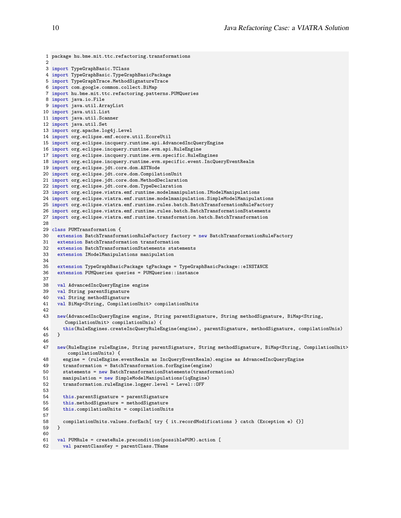```
1 package hu.bme.mit.ttc.refactoring.transformations
 2
 3 import TypeGraphBasic.TClass
 4 import TypeGraphBasic.TypeGraphBasicPackage
 5 import TypeGraphTrace.MethodSignatureTrace
 6 import com.google.common.collect.BiMap
 7 import hu.bme.mit.ttc.refactoring.patterns.PUMQueries
 8 import java.io.File
9 import java.util.ArrayList
10 import java.util.List
11 import java.util.Scanner
12 import java.util.Set
13 import org.apache.log4j.Level
14 import org.eclipse.emf.ecore.util.EcoreUtil
15 import org.eclipse.incquery.runtime.api.AdvancedIncQueryEngine
16 import org.eclipse.incquery.runtime.evm.api.RuleEngine
17 import org.eclipse.incquery.runtime.evm.specific.RuleEngines
18 import org.eclipse.incquery.runtime.evm.specific.event.IncQueryEventRealm
19 import org.eclipse.jdt.core.dom.ASTNode
20 import org.eclipse.jdt.core.dom.CompilationUnit
21 import org.eclipse.jdt.core.dom.MethodDeclaration
22 import org.eclipse.jdt.core.dom.TypeDeclaration
23 import org.eclipse.viatra.emf.runtime.modelmanipulation.IModelManipulations
24 import org.eclipse.viatra.emf.runtime.modelmanipulation.SimpleModelManipulations
25 import org.eclipse.viatra.emf.runtime.rules.batch.BatchTransformationRuleFactory
26 import org.eclipse.viatra.emf.runtime.rules.batch.BatchTransformationStatements
27 import org.eclipse.viatra.emf.runtime.transformation.batch.BatchTransformation
28
29 class PUMTransformation {
30 extension BatchTransformationRuleFactory factory = new BatchTransformationRuleFactory
31 extension BatchTransformation transformation
32 extension BatchTransformationStatements statements
33 extension IModelManipulations manipulation
\frac{34}{35}{\tt extension~TypeGraphBasicPackage~tgPackage~= TypeGraphBasicPackage:} : {\tt eINSTANCE}36 extension PUMQueries queries = PUMQueries::instance
37
38 val AdvancedIncQueryEngine engine
39 val String parentSignature<br>40 val String methodSignature
    val String methodSignature
41 val BiMap<String, CompilationUnit> compilationUnits
42<br>4343 new(AdvancedIncQueryEngine engine, String parentSignature, String methodSignature, BiMap<String,
       CompilationUnit> compilationUnis) {
44 this(RuleEngines.createIncQueryRuleEngine(engine), parentSignature, methodSignature, compilationUnis)
45 }
46
47 new(RuleEngine ruleEngine, String parentSignature, String methodSignature, BiMap<String, CompilationUnit>
        compilationUnits) {
48 engine = (ruleEngine.eventRealm as IncQueryEventRealm).engine as AdvancedIncQueryEngine
       transformation = BatchTransformation.forEngine(engine)
50 statements = new BatchTransformationStatements(transformation)
51 manipulation = new SimpleModelManipulations(iqEngine)
52 transformation.ruleEngine.logger.level = Level::OFF
53
54 this.parentSignature = parentSignature
55 this.methodSignature = methodSignature
56 this.compilationUnits = compilationUnits
57
58 compilationUnits.values.forEach[ try { it.recordModifications } catch (Exception e) {}]<br>59 }
59 }
60
61 val PUMRule = createRule.precondition(possiblePUM).action [
62 val parentClassKey = parentClass.TName
```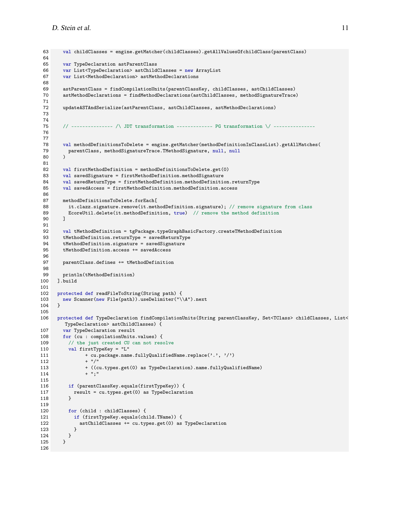```
63 val childClasses = engine.getMatcher(childClasses).getAllValuesOfchildClass(parentClass)
 64<br>65
        var TypeDeclaration astParentClass
 66 var List<TypeDeclaration> astChildClasses = new ArrayList
 67 var List<MethodDeclaration> astMethodDeclarations
 68
 69 astParentClass = findCompilationUnits(parentClassKey, childClasses, astChildClasses)
 70 astMethodDeclarations = findMethodDeclarations(astChildClasses, methodSignatureTrace)
 71
 72 updateASTAndSerialize(astParentClass, astChildClasses, astMethodDeclarations)
 73
 74
 75 // -------------- /\ JDT transformation ------------- PG transformation \/ --------------
 76
 77
78 val methodDefinitionsToDelete = engine.getMatcher(methodDefinitionInClassList).getAllMatches(
          79 parentClass, methodSignatureTrace.TMethodSignature, null, null
 80 )
81<br>82
        val firstMethodDefinition = methodDefinitionsToDelete.get(0)83 val savedSignature = firstMethodDefinition.methodSignature
 84 val savedReturnType = firstMethodDefinition.methodDefinition.returnType
 85 val savedAccess = firstMethodDefinition.methodDefinition.access
 86<br>87
        methodDefinitionsToDelete.forEach[
 88 it.clazz.signature.remove(it.methodDefinition.signature); // remove signature from class
 89 EcoreUtil.delete(it.methodDefinition, true) // remove the method definition<br>90 1
 90 ]
 91
 92 val tMethodDefinition = tgPackage.typeGraphBasicFactory.createTMethodDefinition
 93 tMethodDefinition.returnType = savedReturnType<br>94 tMethodDefinition signature = savedSignature
        tMethodDefinition.signature = savedSignature
 95 tMethodDefinition.access += savedAccess
 96
 97 parentClass.defines += tMethodDefinition
98
99 println(tMethodDefinition)
100 ].build
101
102 protected def readFileToString(String path) {
103 new Scanner(new File(path)).useDelimiter("\\A").next 104 }
104 }
105
106 protected def TypeDeclaration findCompilationUnits(String parentClassKey, Set<TClass> childClasses, List<
         TypeDeclaration> astChildClasses) {
107 var TypeDeclaration result
108 for (cu : compilationUnits.values) {
109 \frac{1}{2} // the just created CU can not resolve<br>110 val firstTypeKey = "L"
          val firstTypeKey = "L"111 + cu.package.name.fullyQualifiedName.replace('.', '/')
112 + "/"
113 + ((cu.types.get(0) as TypeDeclaration).name.fullyQualifiedName)
114 + ";"
115
116 if (parentClassKey.equals(firstTypeKey)) {<br>117 		 result = cu.types.get(0) as TypeDeclarat:
           result = cu.types.get(0) as TypeDeclaration118 }
119
120 for (child : childClasses) {
121 if (firstTypeKey.equals(child.TName)) {
122 astChildClasses += cu.types.get(0) as TypeDeclaration
\begin{array}{ccc} 123 & & & \frac{1}{24} \\ 124 & & & \frac{1}{24} \end{array}\begin{array}{cc} 124 \\ 125 \end{array}125 }
126
```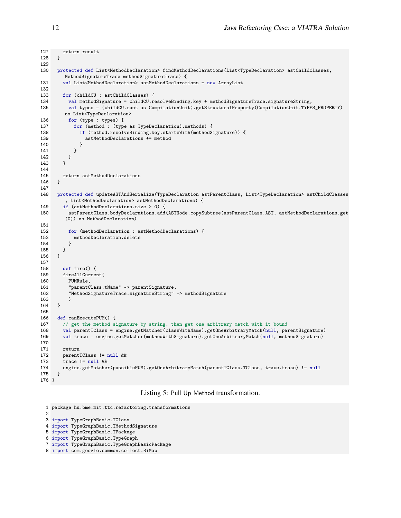```
127 return result
128 }
129<br>130
      130 protected def List<MethodDeclaration> findMethodDeclarations(List<TypeDeclaration> astChildClasses,
         MethodSignatureTrace methodSignatureTrace) {
131 val List<MethodDeclaration> astMethodDeclarations = new ArrayList
132
133 for (childCU : astChildClasses) {
134 val methodSignature = childCU.resolveBinding.key + methodSignatureTrace.signatureString;
135 val types = (childCU.root as CompilationUnit).getStructuralProperty(CompilationUnit.TYPES_PROPERTY)
         as List<TypeDeclaration>
136 for (type : types) {
137 for (method : (type as TypeDeclaration).methods) {
138 if (method.resolveBinding.key.startsWith(methodSignature)) {
139 astMethodDeclarations += method
\begin{array}{ccc} 140 & & & \mbox{)} \\ 141 & & & \mbox{)} \end{array}141 }
\begin{array}{ccc} 142 & & & \end{array}<br>143 }
143 }
144
145 return astMethodDeclarations<br>146 }
146 }
147
148 protected def updateASTAndSerialize(TypeDeclaration astParentClass, List<TypeDeclaration> astChildClasses
         , List<MethodDeclaration> astMethodDeclarations) {
149 if (astMethodDeclarations.size > 0) {
150 astParentClass.bodyDeclarations.add(ASTNode.copySubtree(astParentClass.AST, astMethodDeclarations.get
          (0)) as MethodDeclaration)
151
152 for (methodDeclaration : astMethodDeclarations) {
153 methodDeclaration.delete<br>154 }
154 }
\begin{array}{cc} 155 & \quad \textcolor{blue}{\big\} \\ 156 & \quad \textcolor{blue}{\big\} \end{array}156 }
157
158 def fire() {
159 fireAllCurrent(
160 PUMRule,
161 "parentClass.tName" -> parentSignature,
162 "MethodSignatureTrace.signatureString" -> methodSignature
163<br>164 }
164 }
165
166 def canExecutePUM() {
167 // get the method signature by string, then get one arbitrary match with it bound<br>168 valuarentTClass = engine.getMatcher(classWithName).getOneArbitraryMatch(null.pa
        168 val parentTClass = engine.getMatcher(classWithName).getOneArbitraryMatch(null, parentSignature)
169 val trace = engine.getMatcher(methodWithSignature).getOneArbitraryMatch(null, methodSignature)
170<br>171
        return
172 parentTClass != null & &<br>173 trace != null & &
        trace != null &&174 engine.getMatcher(possiblePUM).getOneArbitraryMatch(parentTClass.TClass, trace.trace) != null<br>175 }
175 }
176 }
```
#### Listing 5: Pull Up Method transformation.

```
1 package hu.bme.mit.ttc.refactoring.transformations
\mathcal{L}3 import TypeGraphBasic.TClass
4 import TypeGraphBasic.TMethodSignature
5 import TypeGraphBasic.TPackage
6 import TypeGraphBasic.TypeGraph
7 import TypeGraphBasic.TypeGraphBasicPackage
8 import com.google.common.collect.BiMap
```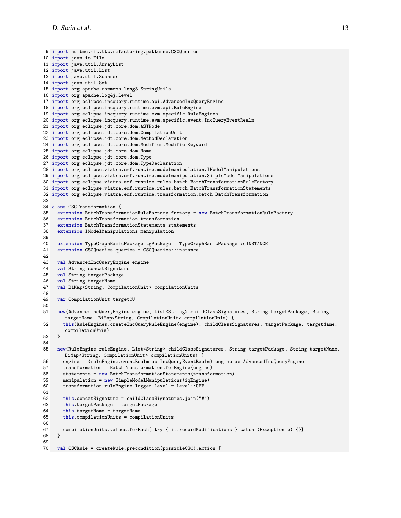```
9 import hu.bme.mit.ttc.refactoring.patterns.CSCQueries
10 import java.io.File
11 import java.util.ArrayList
12 import java.util.List
13 import java.util.Scanner
14 import java.util.Set
15 import org.apache.commons.lang3.StringUtils
16 import org.apache.log4j.Level
17 import org.eclipse.incquery.runtime.api.AdvancedIncQueryEngine
18 import org.eclipse.incquery.runtime.evm.api.RuleEngine
19 import org.eclipse.incquery.runtime.evm.specific.RuleEngines
20 import org.eclipse.incquery.runtime.evm.specific.event.IncQueryEventRealm
21 import org.eclipse.jdt.core.dom.ASTNode
22 import org.eclipse.jdt.core.dom.CompilationUnit
23 import org.eclipse.jdt.core.dom.MethodDeclaration
24 import org.eclipse.jdt.core.dom.Modifier.ModifierKeyword
25 import org.eclipse.jdt.core.dom.Name
26 import org.eclipse.jdt.core.dom.Type
27 import org.eclipse.jdt.core.dom.TypeDeclaration
28 import org.eclipse.viatra.emf.runtime.modelmanipulation.IModelManipulations
29 import org.eclipse.viatra.emf.runtime.modelmanipulation.SimpleModelManipulations
30 import org.eclipse.viatra.emf.runtime.rules.batch.BatchTransformationRuleFactory
31 import org.eclipse.viatra.emf.runtime.rules.batch.BatchTransformationStatements
32 import org.eclipse.viatra.emf.runtime.transformation.batch.BatchTransformation
33
34 class CSCTransformation {
35 extension BatchTransformationRuleFactory factory = new BatchTransformationRuleFactory
36 extension BatchTransformation transformation
37 extension BatchTransformationStatements statements
38 extension IModelManipulations manipulation
39<br>4040 extension TypeGraphBasicPackage tgPackage = TypeGraphBasicPackage::eINSTANCE
41 extension CSCQueries queries = CSCQueries::instance
42
43 val AdvancedIncQueryEngine engine
44 val String concatSignature
45 val String targetPackage
46 val String targetName
47 val BiMap<String, CompilationUnit> compilationUnits
48<br>49
    var CompilationUnit targetCU
50
51 new(AdvancedIncQueryEngine engine, List<String> childClassSignatures, String targetPackage, String
       targetName, BiMap<String, CompilationUnit> compilationUnis) {
52 this(RuleEngines.createIncQueryRuleEngine(engine), childClassSignatures, targetPackage, targetName,
       compilationUnis)
53 }
54<br>55
    55 new(RuleEngine ruleEngine, List<String> childClassSignatures, String targetPackage, String targetName,
       BiMap<String, CompilationUnit> compilationUnits) {
56 engine = (ruleEngine.eventRealm as IncQueryEventRealm).engine as AdvancedIncQueryEngine
57 transformation = BatchTransformation.forEngine(engine)
58 statements = new BatchTransformationStatements(transformation)
59 manipulation = new SimpleModelManipulations(iqEngine)
60 transformation.ruleEngine.logger.level = Level::OFF
61
62 this.concatSignature = childClassSignatures.join("#")
63 this.targetPackage = targetPackage
64 this.targetName = targetName
65 this.compilationUnits = compilationUnits
66
67 compilationUnits.values.forEach[ try { it.recordModifications } catch (Exception e) {}] 68 }
68 }
69
70 val CSCRule = createRule.precondition(possibleCSC).action [
```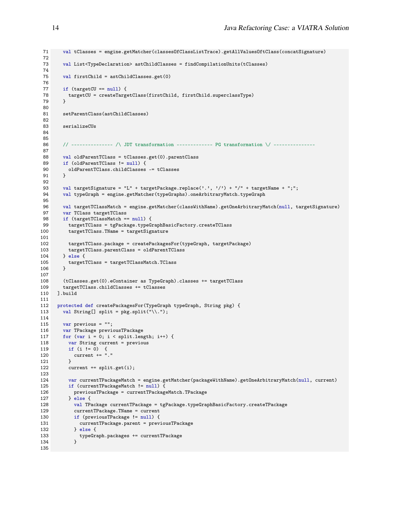```
71 val tClasses = engine.getMatcher(classesOfClassListTrace).getAllValuesOftClass(concatSignature)
 72
        val List<TypeDeclaration> astChildClasses = findCompilationUnits(tClasses)
 74
 75 val firstChild = astChildClasses.get(0)
 76
 77 if (targetCU == null) {
 78 targetCU = createTargetClass(firstChild, firstChild.superclassType)
79 }
 80
 81 setParentClass(astChildClasses)
82
 83 serializeCUs
 84
 85
 86 // -------------- /\ JDT transformation ------------- PG transformation \/ --------------
87
 88 val oldParentTClass = tClasses.get(0).parentClass
89 if (oldParentTClass != null) {<br>90 oldParentTClass.childClasses
        oldParentTClass.cchildClasses -- tClasses91 }
 92
 93 val targetSignature = "L" + targetPackage.replace(',',',') + "/" + targetName + ";";
 94 val typeGraph = engine.getMatcher(typeGraphs).oneArbitraryMatch.typeGraph
 95
96 val targetTClassMatch = engine.getMatcher(classWithName).getOneArbitraryMatch(null, targetSignature)
97 var TClass targetTClass<br>98 if (targetTClassMatch =
       98 if (targetTClassMatch == null) {
99 targetTClass = tgPackage.typeGraphBasicFactory.createTClass<br>100 targetTClass.TName = targetSignature
          targetTClass.TName = targetSignature
\frac{101}{102}102 targetTClass.package = createPackagesFor(typeGraph, targetPackage)
103 targetTClass.parentClass = oldParentTClass
104 } else {
          105 targetTClass = targetTClassMatch.TClass
106 }
107
108 (tClasses.get(0).eContainer as TypeGraph).classes += targetTClass
109 targetTClass.childClasses += tClasses
110 ].build
111
112 protected def createPackagesFor(TypeGraph typeGraph, String pkg) {
113 val String[] split = pkg.split("\\'.");114
115 var previous = "";
116 var TPackage previousTPackage
117 for (var i = 0; i < split.length; i++) {
118 var String current = previous<br>119 if (i != 0) {
          if (i != 0) {}120 current += "."<br>121 }
121 }
122 current += split.get(i);
123
124 var currentTPackageMatch = engine.getMatcher(packageWithName).getOneArbitraryMatch(null, current)
125 if (currentTPackageMatch != null) {<br>126 previousTPackage = currentTPackag
           previousTPackage = currentTPackageMatch.TPackage
127 } else {
128 val TPackage currentTPackage = tgPackage.typeGraphBasicFactory.createTPackage
129 currentTPackage.TName = current
130 if (previousTPackage != null) {
131 currentTPackage.parent = previousTPackage
132 } else {<br>133 <br>typeGr;
            typeGraph.packages += currentTPackage}
134 }
135
```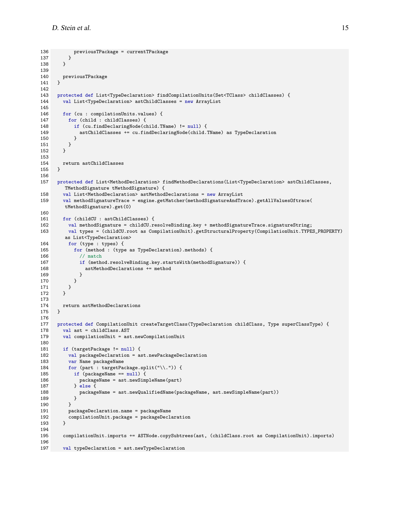```
136 previousTPackage = currentTPackage
\begin{array}{ccc} 137 & & \text{ } \\ 138 & & \text{ } \\ \end{array}138 }
139
140 previousTPackage<br>141 }
141 }
142
143 protected def List<TypeDeclaration> findCompilationUnits(Set<TClass> childClasses) {
144 val List<TypeDeclaration> astChildClasses = new ArrayList
145
146 for (cu : compilationUnits.values) {
147 for (child : childClasses) {
148 if (cu.findDeclaringNode(child.TName) != null) {
149 astChildClasses += cu.findDeclaringNode(child.TName) as TypeDeclaration
\begin{array}{ccc} 150 & & & \} 151 & & & \end{array}\begin{array}{cc} 151 \\ 152 \end{array} }
152 }
153
154 return astChildClasses<br>155 }
155 }
156
157 protected def List<MethodDeclaration> findMethodDeclarations(List<TypeDeclaration> astChildClasses,
         TMethodSignature tMethodSignature) {
158 val List<MethodDeclaration> astMethodDeclarations = new ArrayList<br>159 val methodSignatureTrace = engine.getMatcher(methodSignatureAndTra
        val methodSignatureTrace = engine.getMatcher(methodSignatureAndTrace).getAllValuesOftrace(
         tMethodSignature).get(0)
160
161 for (childCU : astChildClasses) {
162 val methodSignature = childCU.resolveBinding.key + methodSignatureTrace.signatureString;
163 val types = (childCU.root as CompilationUnit).getStructuralProperty(CompilationUnit.TYPES_PROPERTY)
         as List<TypeDeclaration>
164 for (type : types) {
165 for (method : (type as TypeDeclaration).methods) {
166 // match
167 if (method.resolveBinding.key.startsWith(methodSignature)) {
168 astMethodDeclarations += method
169 }
170 }
\begin{array}{ccc} 171 & & \rightarrow \\ 172 & & \rightarrow \end{array}172 }
173
      return astMethodDeclarations
175 }
176
177 protected def CompilationUnit createTargetClass(TypeDeclaration childClass, Type superClassType) {<br>178 valuati= childClass.AST
        val ast = childClass.AST
179 val compilationUnit = ast.newCompilationUnit
180<br>181
        if (targetPackage != null) {
182 val packageDeclaration = ast.newPackageDeclaration
183 var Name packageName
184 for (part : targetPackage.split("\\.")) {
185 if (packageName == null) {
186 packageName = ast.newSimpleName(part)
187 } else {<br>188 b packag
               188 packageName = ast.newQualifiedName(packageName, ast.newSimpleName(part))
\begin{array}{ccc} 189 & & & \end{array}<br>190 }
190 }
           191 packageDeclaration.name = packageName
192 compilationUnit.package = packageDeclaration<br>193 }
193 }
194<br>195
        195 compilationUnit.imports += ASTNode.copySubtrees(ast, (childClass.root as CompilationUnit).imports)
196
197 val typeDeclaration = ast.newTypeDeclaration
```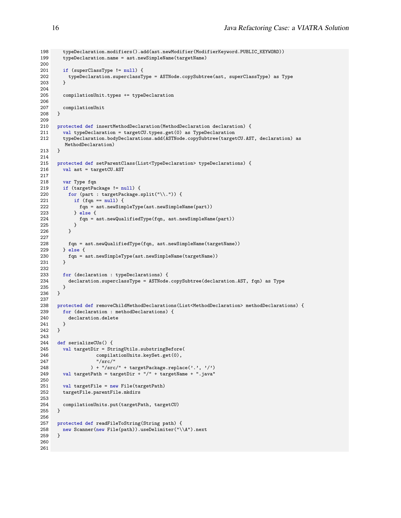```
198 typeDeclaration.modifiers().add(ast.newModifier(ModifierKeyword.PUBLIC_KEYWORD))
199 typeDeclaration.name = ast.newSimpleName(targetName)
200
201 if (superClassType != null) {
202 typeDeclaration.superclassType = ASTNode.copySubtree(ast, superClassType) as Type 203 }
203 }
204
205 compilationUnit.types += typeDeclaration
206
      compilationUnit
208 }
209
210 protected def insertMethodDeclaration(MethodDeclaration declaration) {
211 val typeDeclaration = targetCU.types.get(0) as TypeDeclaration
212 typeDeclaration.bodyDeclarations.add(ASTNode.copySubtree(targetCU.AST, declaration) as
         MethodDeclaration)
213 }
214
215 protected def setParentClass(List<TypeDeclaration> typeDeclarations) {<br>216 val ast = targetCU.AST
        val ast = targetCU.AST
\frac{217}{218}var Type fqn
219 if (targetPackage != null) {<br>220 for (part : targetPackage s
220 for (part : targetPackage.split("\\.")) {<br>221 if (fqn == null) {
            if (fqn == null) {
222 fqn = ast.newSimpleType(ast.newSimpleName(part))<br>223    } else {
223 } else {<br>224 fqn = afqn = ast.newQualifiedType(fqn, ast.newSimpleName(part))\begin{array}{cc} 225 \\ 226 \end{array}226 }
227<br>228
          fqn = ast.newQualifiedType(fqn, ast.newSimpleName(targetName))
229 } else {
230 fqn = ast.newSimpleType(ast.newSimpleName(targetName))<br>231 }
231 }
232
233 for (declaration : typeDeclarations) {
234 declaration.superclassType = ASTNode.copySubtree(declaration.AST, fqn) as Type
235 }<br>236 }
236 }
237
238 protected def removeChildMethodDeclarations(List<MethodDeclaration> methodDeclarations) {
239 for (declaration : methodDeclarations) {
240 declaration.delete
241 }<br>242 }
242 }
243
244 def serializeCUs() {<br>245 val targetDir = St:
        val targetDir = StringUtils.substringBefore(
246 compilationUnits.keySet.get(0),<br>247 "/src/"
                      " / src / "248 ) + "/src/" + targetPackage.replace('.', '/')
249 val targetPath = targetDir + "/" + targetName + ".java"
250
251 val targetFile = new File(targetPath)<br>252 targetFile.parentFile.mkdirs
        252 targetFile.parentFile.mkdirs
253<br>254
      compilationUnits.put(targetPath, targetCU) }
255 }
256
257 protected def readFileToString(String path) {
258 new Scanner(new File(path)).useDelimiter("\\A").next<br>259 }
259 }
260
261
```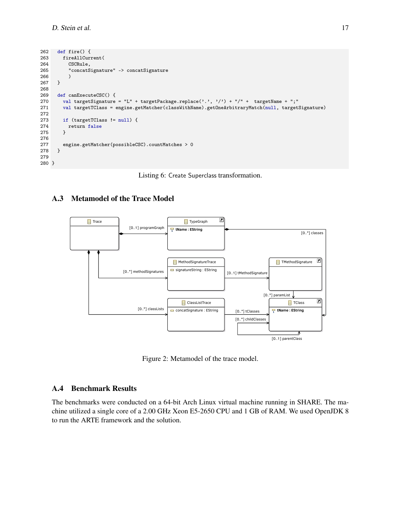```
262 def fire() {
263 fireAllCurrent(<br>264 CSCRule,
          CSCRule,
265 "concatSignature" -> concatSignature
266 )<br>267 }
267 }
268
      def canExecuteCSC() {
270 val targetSignature = "L" + targetPackage.replace('.', '/') + "/" + targetName + ";"
271 val targetTClass = engine.getMatcher(classWithName).getOneArbitraryMatch(null, targetSignature)
272
        273 if (targetTClass != null) {
274 return false<br>275 }
275 }
276
277 engine.getMatcher(possibleCSC).countMatches > 0<br>278 }
278 }
279
280 }
```


#### A.3 Metamodel of the Trace Model

<span id="page-16-0"></span>

Figure 2: Metamodel of the trace model.

#### A.4 Benchmark Results

The benchmarks were conducted on a 64-bit Arch Linux virtual machine running in SHARE. The machine utilized a single core of a 2.00 GHz Xeon E5-2650 CPU and 1 GB of RAM. We used OpenJDK 8 to run the ARTE framework and the solution.